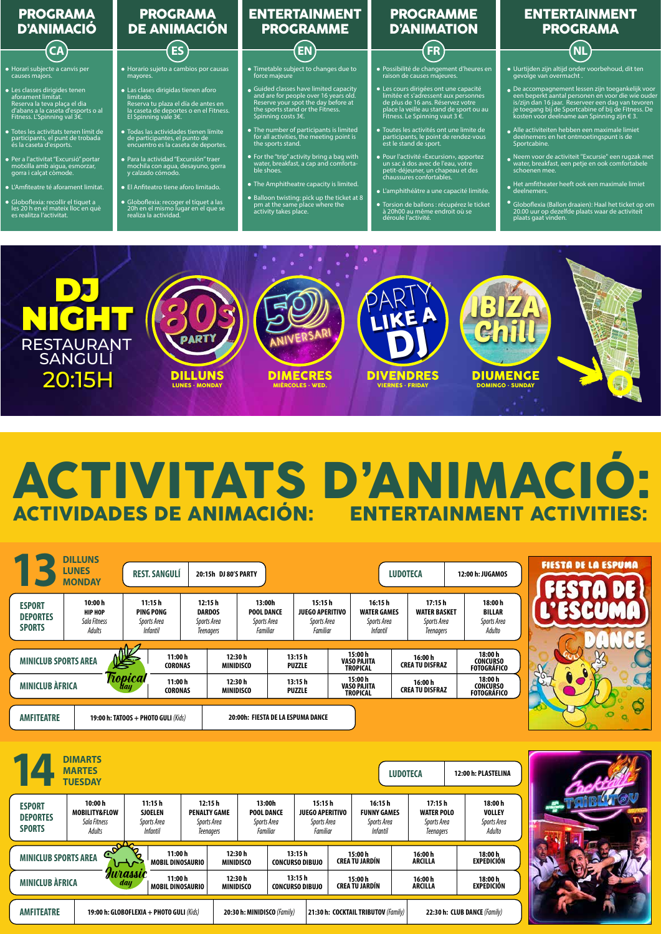DILLUNS LUNES · MONDAY

**PART** 

DIVENDRES **VES · FRIDAY** 

NIGHT

20:15H

RESTAURANT SANGULÍ

DIMECRES MIÉRCOLES · WED.

ANIVERSARI

DIUMENGE DOMINGO · SUNDAY

PARTY

LIKE A

DJ

IBIZA

Chill

|                                                   | <b>DIMARTS</b><br><b>MARTES</b><br><b>TUESDAY</b>  |                                                             |                                                            |                                                        |  |                                                              |                                 | <b>LUDOTECA</b>                                                 |                                                                 | 12:00 h: PLASTELINA                               |
|---------------------------------------------------|----------------------------------------------------|-------------------------------------------------------------|------------------------------------------------------------|--------------------------------------------------------|--|--------------------------------------------------------------|---------------------------------|-----------------------------------------------------------------|-----------------------------------------------------------------|---------------------------------------------------|
| <b>ESPORT</b><br><b>DEPORTES</b><br><b>SPORTS</b> | 10:00 h<br>MOBILITY&FLOW<br>Sala Fitness<br>Adults | 11:15 h<br><b>SJOELEN</b><br>Sports Area<br><i>Infantil</i> | 12:15 h<br><b>PENALTY GAME</b><br>Sports Area<br>Teenagers | 13:00h<br><b>POOL DANCE</b><br>Sports Area<br>Familiar |  | 15:15 h<br><b>JUEGO APERITIVO</b><br>Sports Area<br>Familiar |                                 | 16:15 h<br><b>FUNNY GAMES</b><br>Sports Area<br><i>Infantil</i> | 17:15 h<br><b>WATER POLO</b><br>Sports Area<br><b>Teenagers</b> | 18:00 h<br><b>VOLLEY</b><br>Sports Area<br>Adulto |
| <b>MINICLUB SPORTS AREA</b>                       | ஶ                                                  | 11:00 h<br><b>MOBIL DINOSAURIO</b>                          |                                                            | 12:30 h<br><b>MINIDISCO</b>                            |  | 13:15h<br><b>CONCURSO DIBUJO</b>                             | 15:00 h<br><b>CREATU JARDÍN</b> |                                                                 | 16:00 h<br><b>ARCILLA</b>                                       | 18:00 h<br><b>EXPEDICIÓN</b>                      |
| Jurassic<br><b>MINICLUB ÀFRICA</b><br>day         |                                                    | 11:00 h<br><b>MOBIL DINOSAURIO</b>                          |                                                            | 12:30 h<br>MINIDISCO                                   |  | 13:15h<br><b>CONCURSO DIBUJO</b>                             | 15:00 h<br><b>CREATU JARDIN</b> |                                                                 | 16:00 h<br><b>ARCILLA</b>                                       | 18:00h<br><b>EXPEDICIÓN</b>                       |
| <b>AMFITEATRE</b>                                 |                                                    | 19:00 h: GLOBOFLEXIA + PHOTO GULI (Kids)                    |                                                            | 20:30 h: MINIDISCO (Family)                            |  |                                                              |                                 | 21:30 h: COCKTAIL TRIBUTOV (Family)                             |                                                                 | 22:30 h: CLUB DANCE (Family)                      |



| ◡                                                 | <b>DILLUNS</b><br><b>LUNES</b><br><b>MONDAY</b>     | <b>REST. SANGULÍ</b>                                  |                           | 20:15h DJ 80'S PARTY                                                                                                 |                         |                                                             |                                                  |                                                                 | <b>LUDOTECA</b>                                           | 12:00 h: JUGAMOS                                  |        |
|---------------------------------------------------|-----------------------------------------------------|-------------------------------------------------------|---------------------------|----------------------------------------------------------------------------------------------------------------------|-------------------------|-------------------------------------------------------------|--------------------------------------------------|-----------------------------------------------------------------|-----------------------------------------------------------|---------------------------------------------------|--------|
| <b>ESPORT</b><br><b>DEPORTES</b><br><b>SPORTS</b> | 10:00 h<br><b>HIP HOP</b><br>Sala Fitness<br>Adults | 11:15h<br>PING PONG<br>Sports Area<br><i>Infantil</i> |                           | 12:15h<br>13:00h<br><b>DARDOS</b><br><b>POOL DANCE</b><br>Sports Area<br>Sports Area<br>Familiar<br><b>Teenagers</b> |                         | 15:15h<br><b>JUEGO APERITIVO</b><br>Sports Area<br>Familiar |                                                  | 16:15 h<br><b>WATER GAMES</b><br>Sports Area<br><i>Infantil</i> | 17:15h<br><b>WATER BASKET</b><br>Sports Area<br>Teenagers | 18:00 h<br><b>BILLAR</b><br>Sports Area<br>Adulto |        |
| <b>MINICLUB SPORTS AREA</b>                       |                                                     | 坚                                                     | 11:00 h<br><b>CORONAS</b> | 12:30h<br><b>MINIDISCO</b>                                                                                           | 13:15h<br><b>PUZZLE</b> |                                                             | 15:00 h<br><b>VASO PAJITA</b><br><b>TROPICAL</b> |                                                                 | 16:00 h<br><b>CREA TU DISFRAZ</b>                         | 18:00 h<br><b>CONCURSO</b><br><b>FOTOGRÁFICO</b>  |        |
| <b>MINICLUB ÀFRICA</b>                            |                                                     | <i>Fiopical</i><br><b>Hay</b>                         | 11:00h<br><b>CORONAS</b>  |                                                                                                                      |                         | 13:15h<br><b>PUZZLE</b>                                     |                                                  | 15:00 h<br><b>VASO PAJITA</b><br><b>TROPICAL</b>                | 16:00 h<br><b>CREA TU DISFRAZ</b>                         | 18:00 h<br><b>CONCURSO</b><br><b>FOTOGRÁFICO</b>  | $50 -$ |





## ACTIVITATS D'ANIMACIO:<br>ACTIVIDADES DE ANIMACIÓN: ENTERTAINMENT ACTIVITIES: **ACTIVIDADES DE ANIMACIÓN:**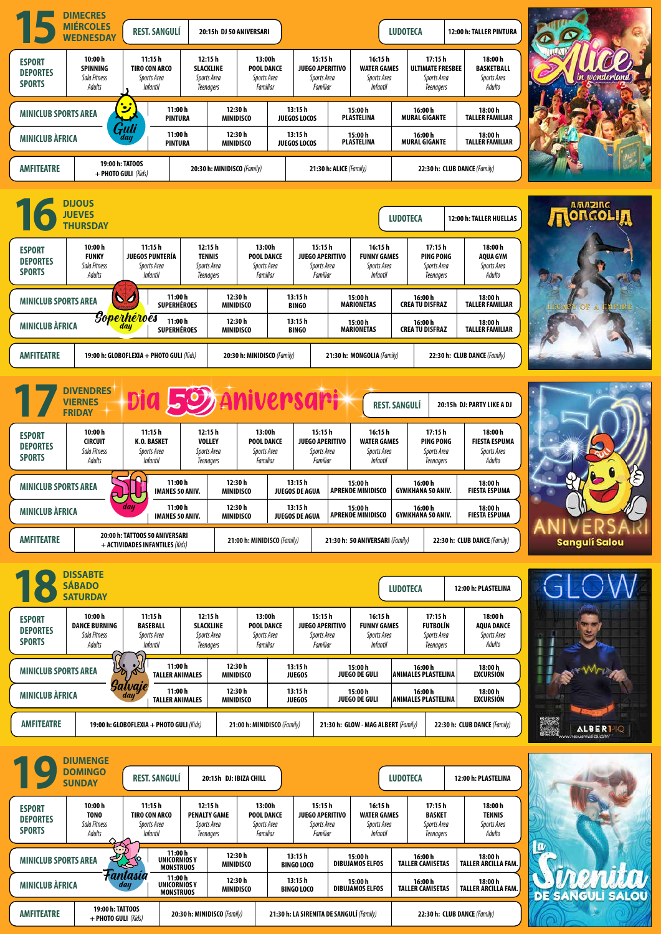









| <b>AMFITEATRE</b>                                                                             |                                                    |                                                           | 19:00 h: GLOBOFLEXIA + PHOTO GULI (Kids)                         |                             | 21:00 h: MINIDISCO (Family)<br>21:30 h: GLOW - MAG ALBERT (Family) |                                          |                                                             |                                   |                                                                                                                              | 22:30 h: CLUB DANCE (Family)       | 25.8<br>ALBER <sup>1-10</sup><br>濃磷<br>www.nexusmusica.com |                         |    |
|-----------------------------------------------------------------------------------------------|----------------------------------------------------|-----------------------------------------------------------|------------------------------------------------------------------|-----------------------------|--------------------------------------------------------------------|------------------------------------------|-------------------------------------------------------------|-----------------------------------|------------------------------------------------------------------------------------------------------------------------------|------------------------------------|------------------------------------------------------------|-------------------------|----|
|                                                                                               | <b>DIUMENGE</b><br><b>DOMINGO</b><br><b>SUNDAY</b> | <b>REST. SANGULÍ</b>                                      |                                                                  | 20:15h DJ: IBIZA CHILL      |                                                                    |                                          |                                                             |                                   | <b>LUDOTECA</b>                                                                                                              |                                    | 12:00 h: PLASTELINA                                        |                         |    |
| <b>ESPORT</b><br><b>DEPORTES</b><br><b>SPORTS</b>                                             | 10:00h<br><b>TONO</b><br>Sala Fitness<br>Adults    | 11:15h<br>TIRO CON ARCO<br>Sports Area<br><b>Infantil</b> | 12:15h<br><b>PENALTY GAME</b><br>Sports Area<br><b>Teenagers</b> |                             | 13:00h<br><b>POOL DANCE</b><br>Sports Area<br>Familiar             |                                          | 15:15h<br><b>JUEGO APERITIVO</b><br>Sports Area<br>Familiar |                                   | 16:15h<br>17:15h<br><b>BASKET</b><br><b>WATER GAMES</b><br>Sports Area<br>Sports Area<br><b>Infantil</b><br><b>Teenagers</b> |                                    | 18:00 h<br><b>TENNIS</b><br>Sports Area<br>Adulto          |                         |    |
| <b>MINICLUB SPORTS AREA</b>                                                                   |                                                    |                                                           | 11:00 h<br><b>UNICORNIOSY</b><br><b>MONSTRUOS</b>                | 12:30 h<br><b>MINIDISCO</b> |                                                                    | 13:15h<br><b>BINGO LOCO</b>              |                                                             | 15:00 h<br><b>DIBUJAMOS ELFOS</b> |                                                                                                                              | 16:00h<br><b>TALLER CAMISETAS</b>  | 18:00 h<br><b>TALLER ARCILLA FAM.</b>                      |                         |    |
| Fantasia<br><b>MINICLUB ÀFRICA</b><br>day                                                     |                                                    |                                                           | 11:00h<br><b>UNICORNIOS Y</b><br><b>MONSTRUOS</b>                | 12:30 h<br><b>MINIDISCO</b> |                                                                    | 13:15h<br><b>BINGO LOCO</b>              |                                                             | 15:00 h<br><b>DIBUJAMOS ELFOS</b> |                                                                                                                              | 16:00 h<br><b>TALLER CAMISETAS</b> | 18:00 h<br><b>TALLER ARCILLA FAM.</b>                      | <b>DE SANGULI SALOU</b> | WW |
| 19:00 h: TATT00S<br><b>AMFITEATRE</b><br>20:30 h: MINIDISCO (Family)<br>$+$ PHOTO GULI (Kids) |                                                    |                                                           |                                                                  |                             |                                                                    | 21:30 h: LA SIRENITA DE SANGULÍ (Family) |                                                             | 22:30 h: CLUB DANCE (Family)      |                                                                                                                              |                                    |                                                            |                         |    |